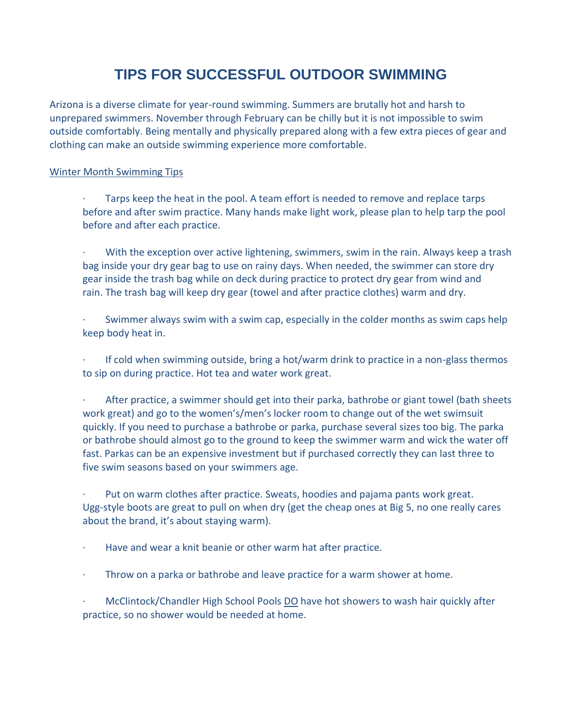## **TIPS FOR SUCCESSFUL OUTDOOR SWIMMING**

Arizona is a diverse climate for year-round swimming. Summers are brutally hot and harsh to unprepared swimmers. November through February can be chilly but it is not impossible to swim outside comfortably. Being mentally and physically prepared along with a few extra pieces of gear and clothing can make an outside swimming experience more comfortable.

## Winter Month Swimming Tips

- Tarps keep the heat in the pool. A team effort is needed to remove and replace tarps before and after swim practice. Many hands make light work, please plan to help tarp the pool before and after each practice.
- With the exception over active lightening, swimmers, swim in the rain. Always keep a trash bag inside your dry gear bag to use on rainy days. When needed, the swimmer can store dry gear inside the trash bag while on deck during practice to protect dry gear from wind and rain. The trash bag will keep dry gear (towel and after practice clothes) warm and dry.
- Swimmer always swim with a swim cap, especially in the colder months as swim caps help keep body heat in.
- · If cold when swimming outside, bring a hot/warm drink to practice in a non-glass thermos to sip on during practice. Hot tea and water work great.
- After practice, a swimmer should get into their parka, bathrobe or giant towel (bath sheets work great) and go to the women's/men's locker room to change out of the wet swimsuit quickly. If you need to purchase a bathrobe or parka, purchase several sizes too big. The parka or bathrobe should almost go to the ground to keep the swimmer warm and wick the water off fast. Parkas can be an expensive investment but if purchased correctly they can last three to five swim seasons based on your swimmers age.
- Put on warm clothes after practice. Sweats, hoodies and pajama pants work great. Ugg-style boots are great to pull on when dry (get the cheap ones at Big 5, no one really cares about the brand, it's about staying warm).
- · Have and wear a knit beanie or other warm hat after practice.
- Throw on a parka or bathrobe and leave practice for a warm shower at home.
- · McClintock/Chandler High School Pools DO have hot showers to wash hair quickly after practice, so no shower would be needed at home.